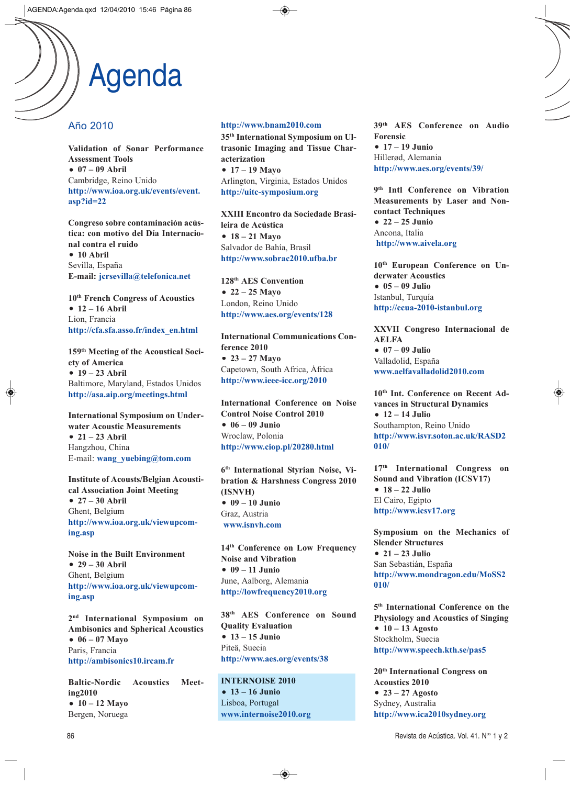# Agenda

## Año 2010

**Validation of Sonar Performance Assessment Tools** - **07 – 09 Abril** Cambridge, Reino Unido **http://www.ioa.org.uk/events/event. asp?id=22**

**Congreso sobre contaminación acústica: con motivo del Día Internacional contra el ruido** - **10 Abril** Sevilla, España **E-mail: jcrsevilla@telefonica.net**

**10th French Congress of Acoustics** - **12 – 16 Abril** Lion, Francia **http://cfa.sfa.asso.fr/index\_en.html**

**159th Meeting of the Acoustical Society of America** - **19 – 23 Abril** Baltimore, Maryland, Estados Unidos **http://asa.aip.org/meetings.html**

**International Symposium on Underwater Acoustic Measurements** - **21 – 23 Abril** Hangzhou, China E-mail: **wang\_yuebing@tom.com**

**Institute of Acousts/Belgian Acoustical Association Joint Meeting** - **27 – 30 Abril** Ghent, Belgium **http://www.ioa.org.uk/viewupcoming.asp**

**Noise in the Built Environment** - **29 – 30 Abril** Ghent, Belgium **http://www.ioa.org.uk/viewupcoming.asp**

**2nd International Symposium on Ambisonics and Spherical Acoustics** - **06 – 07 Mayo** Paris, Francia **http://ambisonics10.ircam.fr**

**Baltic-Nordic Acoustics Meeting2010** - **10 – 12 Mayo** Bergen, Noruega

#### **http://www.bnam2010.com**

**35th International Symposium on Ultrasonic Imaging and Tissue Characterization** - **17 – 19 Mayo**

Arlington, Virginia, Estados Unidos **http://uitc-symposium.org**

**XXIII Encontro da Sociedade Brasileira de Acústica** - **18 – 21 Mayo** Salvador de Bahía, Brasil **http://www.sobrac2010.ufba.br**

**128th AES Convention** - **22 – 25 Mayo** London, Reino Unido **http://www.aes.org/events/128**

**International Communications Conference 2010** - **23 – 27 Mayo** Capetown, South Africa, África **http://www.ieee-icc.org/2010**

**International Conference on Noise Control Noise Control 2010** - **06 – 09 Junio** Wroclaw, Polonia **http://www.ciop.pl/20280.html**

**6th International Styrian Noise, Vibration & Harshness Congress 2010 (ISNVH)** - **09 – 10 Junio** Graz, Austria **www.isnvh.com**

**14th Conference on Low Frequency Noise and Vibration** - **09 – 11 Junio** June, Aalborg, Alemania **http://lowfrequency2010.org**

**38th AES Conference on Sound Quality Evaluation** - **13 – 15 Junio** Piteä, Suecia **http://www.aes.org/events/38**

**INTERNOISE 2010** - **13 – 16 Junio** Lisboa, Portugal **www.internoise2010.org** **39th AES Conference on Audio Forensic** - **17 – 19 Junio** Hillerød, Alemania **http://www.aes.org/events/39/**

**9th Intl Conference on Vibration Measurements by Laser and Noncontact Techniques** - **22 – 25 Junio** Ancona, Italia **http://www.aivela.org**

**10th European Conference on Underwater Acoustics** - **05 – 09 Julio** Istanbul, Turquía **http://ecua-2010-istanbul.org**

**XXVII Congreso Internacional de AELFA** - **07 – 09 Julio** Valladolid, España **www.aelfavalladolid2010.com**

**10th Int. Conference on Recent Advances in Structural Dynamics** - **12 – 14 Julio** Southampton, Reino Unido **http://www.isvr.soton.ac.uk/RASD2 010/**

**17th International Congress on Sound and Vibration (ICSV17)** - **18 – 22 Julio** El Cairo, Egipto **http://www.icsv17.org**

**Symposium on the Mechanics of Slender Structures** - **21 – 23 Julio** San Sebastián, España **http://www.mondragon.edu/MoSS2 010/**

**5th International Conference on the Physiology and Acoustics of Singing** - **10 – 13 Agosto** Stockholm, Suecia **http://www.speech.kth.se/pas5**

**20th International Congress on Acoustics 2010** - **23 – 27 Agosto** Sydney, Australia **http://www.ica2010sydney.org**